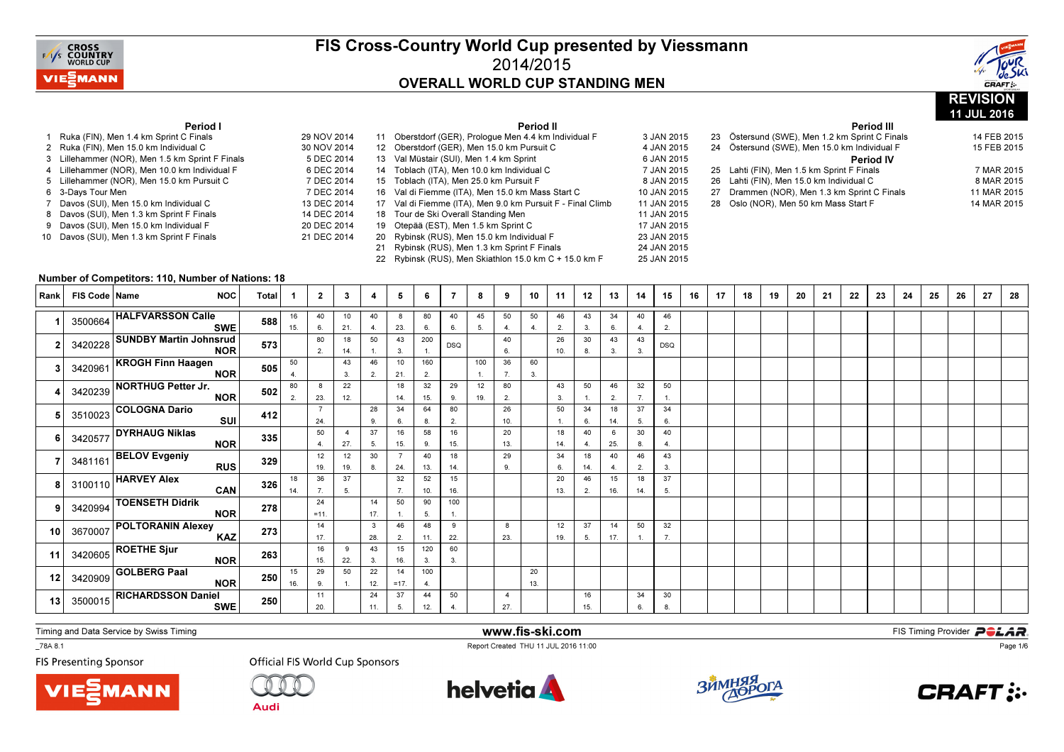



11 JUL 2016

#### Period I

| 1  | Ruka (FIN), Men 1.4 km Sprint C Finals        | 29 NOV 2014 |
|----|-----------------------------------------------|-------------|
| 2  | Ruka (FIN), Men 15.0 km Individual C          | 30 NOV 2014 |
| 3  | Lillehammer (NOR), Men 1.5 km Sprint F Finals | 5 DEC 2014  |
|    | 4 Lillehammer (NOR), Men 10.0 km Individual F | 6 DEC 2014  |
|    | 5 Lillehammer (NOR), Men 15.0 km Pursuit C    | 7 DEC 2014  |
| 6. | 3-Days Tour Men                               | 7 DEC 2014  |
| 7  | Davos (SUI), Men 15.0 km Individual C         | 13 DEC 2014 |
| 8  | Davos (SUI), Men 1.3 km Sprint F Finals       | 14 DEC 2014 |
| 9  | Davos (SUI), Men 15.0 km Individual F         | 20 DEC 2014 |
| 10 | Davos (SUI), Men 1.3 km Sprint F Finals       | 21 DEC 2014 |
|    |                                               |             |

|             |    | Period II                                               |             |
|-------------|----|---------------------------------------------------------|-------------|
| 29 NOV 2014 | 11 | Oberstdorf (GER), Prologue Men 4.4 km Individual F      | 3 JAN 2015  |
| 30 NOV 2014 |    | 12 Oberstdorf (GER), Men 15.0 km Pursuit C              | 4 JAN 2015  |
| 5 DEC 2014  | 13 | Val Müstair (SUI), Men 1.4 km Sprint                    | 6 JAN 2015  |
| 6 DEC 2014  | 14 | Toblach (ITA), Men 10.0 km Individual C                 | 7 JAN 2015  |
| 7 DEC 2014  | 15 | Toblach (ITA), Men 25.0 km Pursuit F                    | 8 JAN 2015  |
| 7 DEC 2014  | 16 | Val di Fiemme (ITA), Men 15.0 km Mass Start C           | 10 JAN 2015 |
| 13 DEC 2014 | 17 | Val di Fiemme (ITA), Men 9.0 km Pursuit F - Final Climb | 11 JAN 2015 |
| 14 DEC 2014 | 18 | Tour de Ski Overall Standing Men                        | 11 JAN 2015 |
| 20 DEC 2014 | 19 | Otepää (EST), Men 1.5 km Sprint C                       | 17 JAN 2015 |
| 21 DEC 2014 | 20 | Rybinsk (RUS), Men 15.0 km Individual F                 | 23 JAN 2015 |
|             | 21 | Rybinsk (RUS), Men 1.3 km Sprint F Finals               | 24 JAN 2015 |
|             | 22 | Rybinsk (RUS), Men Skiathlon 15.0 km C + 15.0 km F      | 25 JAN 2015 |

#### Period III

|  | 23 Östersund (SWE), Men 1.2 km Sprint C Finals | 14 FEB 2015 |
|--|------------------------------------------------|-------------|
|  | 24 Östersund (SWE), Men 15.0 km Individual F   | 15 FEB 2015 |
|  | <b>Period IV</b>                               |             |
|  | 25 Lahti (FIN), Men 1.5 km Sprint F Finals     | 7 MAR 2015  |
|  | 26 Lahti (FIN), Men 15.0 km Individual C       | 8 MAR 2015  |
|  | 27 Drammen (NOR), Men 1.3 km Sprint C Finals   | 11 MAR 2015 |
|  | 28 Oslo (NOR), Men 50 km Mass Start F          | 14 MAR 2015 |
|  |                                                |             |

#### Number of Competitors: 110, Number of Nations: 18

| Rank | FIS Code   Name | <b>NOC</b>                                                 | <b>Total</b> |     | $\mathbf{2}$ | 3         | 4   | 5                     | 6.        | 7          | 8   | 9              | 10             | 11       | 12        | 13      | 14               | 15             | 16 | 17 | 18 | 19 | 20 | 21 | 22 | 23 | 24 | 25 | 26 | 27 | 28 |
|------|-----------------|------------------------------------------------------------|--------------|-----|--------------|-----------|-----|-----------------------|-----------|------------|-----|----------------|----------------|----------|-----------|---------|------------------|----------------|----|----|----|----|----|----|----|----|----|----|----|----|----|
|      |                 | 3500664 HALFVARSSON Calle                                  | 588          | 16  | 40           | 10        | 40  | 8                     | 80        | 40         | 45  | 50             | 50             | 46       | 43        | 34      | 40               | 46             |    |    |    |    |    |    |    |    |    |    |    |    |    |
|      |                 | <b>SWE</b>                                                 |              | 15. | 6.           | 21.       | 4   | 23.                   | 6.        | 6.         | 5.  | $\overline{4}$ | $\overline{4}$ | 2.       | 3.        | 6.      | $\overline{4}$   | 2.             |    |    |    |    |    |    |    |    |    |    |    |    |    |
|      | 3420228         | <b>SUNDBY Martin Johnsrud</b>                              | 573          |     | 80           | 18        | 50  | 43                    | 200       | <b>DSQ</b> |     | 40             |                | 26       | 30        | 43      | 43               | <b>DSQ</b>     |    |    |    |    |    |    |    |    |    |    |    |    |    |
|      |                 | <b>NOR</b>                                                 |              |     | 2.           | 14.       |     | 3.                    |           |            |     | 6.             |                | 10.      | 8.        | 3.      | 3.               |                |    |    |    |    |    |    |    |    |    |    |    |    |    |
|      |                 | 3420961 KROGH Finn Haagen                                  | 505          | 50  |              | 43        | 46  | 10                    | 160       |            | 100 | 36             | 60             |          |           |         |                  |                |    |    |    |    |    |    |    |    |    |    |    |    |    |
|      |                 | <b>NOR</b>                                                 |              |     |              | 3.        | 2.  | 21.                   | 2.        |            |     | 7.             | 3.             |          |           |         |                  |                |    |    |    |    |    |    |    |    |    |    |    |    |    |
|      | 3420239         | NORTHUG Petter Jr.                                         | 502          | 80  | 8            | 22        |     | 18                    | 32        | 29         | 12  | 80             |                | 43       | 50        | 46      | 32               | 50             |    |    |    |    |    |    |    |    |    |    |    |    |    |
|      |                 | <b>NOR</b>                                                 |              | 2.  | 23.          | 12.       |     | 14.                   | 15.       | 9.         | 19. | 2.             |                | 3.       |           | 2.      |                  | -1.            |    |    |    |    |    |    |    |    |    |    |    |    |    |
|      | 3510023         | <b>COLOGNA Dario</b>                                       | 412          |     |              |           | 28  | 34                    | 64        | 80         |     | 26             |                | 50       | 34        | 18      | 37               | 34             |    |    |    |    |    |    |    |    |    |    |    |    |    |
|      |                 | SUI                                                        |              |     | 24.          |           | 9.  | 6.                    | 8.        | 2.         |     | 10.            |                |          | 6.        | 14.     | 5.               | 6.             |    |    |    |    |    |    |    |    |    |    |    |    |    |
|      |                 | 3420577 DYRHAUG Niklas                                     | 335          |     | 50           | -4        | 37  | 16                    | 58        | 16         |     | 20             |                | 18       | 40        | 6       | 30               | 40             |    |    |    |    |    |    |    |    |    |    |    |    |    |
|      |                 | <b>NOR</b>                                                 |              |     | 4.           | 27.       | 5.  | 15.<br>$\overline{7}$ | 9.        | 15.        |     | 13.            |                | 14.      | 4         | 25.     | 8.               | $\overline{4}$ |    |    |    |    |    |    |    |    |    |    |    |    |    |
|      | 3481161         | <b>BELOV Evgeniy</b>                                       | 329          |     | 12           | 12        | 30  |                       | 40        | 18         |     | 29             |                | 34       | 18        | 40      | 46               | 43             |    |    |    |    |    |    |    |    |    |    |    |    |    |
|      |                 | <b>RUS</b>                                                 |              | 18  | 19.<br>36    | 19.<br>37 | 8.  | 24.<br>32             | 13.<br>52 | 14.<br>15  |     | 9.             |                | 6.<br>20 | 14.<br>46 | 4<br>15 | 2.<br>18         | 3.<br>37       |    |    |    |    |    |    |    |    |    |    |    |    |    |
|      | 3100110         | <b>HARVEY Alex</b><br>CAN                                  | 326          | 14. | 7.           | 5.        |     | 7.                    | 10.       | 16.        |     |                |                | 13.      | 2.        | 16.     | 14.              | 5.             |    |    |    |    |    |    |    |    |    |    |    |    |    |
|      |                 | <b>TOENSETH Didrik</b>                                     |              |     | 24           |           | 14  | 50                    | 90        | 100        |     |                |                |          |           |         |                  |                |    |    |    |    |    |    |    |    |    |    |    |    |    |
| q    | 3420994         | <b>NOR</b>                                                 | 278          |     | $=11.$       |           | 17. |                       | 5.        |            |     |                |                |          |           |         |                  |                |    |    |    |    |    |    |    |    |    |    |    |    |    |
|      |                 | <b>POLTORANIN Alexey</b>                                   |              |     | 14           |           | 3   | 46                    | 48        | 9          |     | 8              |                | 12       | 37        | 14      | 50               | 32             |    |    |    |    |    |    |    |    |    |    |    |    |    |
| 10   | 3670007         | <b>KAZ</b>                                                 | 273          |     | 17.          |           | 28. | 2.                    | 11.       | 22.        |     | 23.            |                | 19.      | 5.        | 17.     | $\overline{1}$ . | 7.             |    |    |    |    |    |    |    |    |    |    |    |    |    |
|      |                 | $3420605$ ROETHE Sjur                                      |              |     | 16           | 9         | 43  | 15                    | 120       | 60         |     |                |                |          |           |         |                  |                |    |    |    |    |    |    |    |    |    |    |    |    |    |
| 11   |                 | <b>NOR</b>                                                 | 263          |     | 15.          | 22.       | 3.  | 16.                   | 3.        | 3.         |     |                |                |          |           |         |                  |                |    |    |    |    |    |    |    |    |    |    |    |    |    |
|      |                 | $\begin{array}{c} \sqrt{3420909} \end{array}$ GOLBERG Paal |              | 15  | 29           | 50        | 22  | 14                    | 100       |            |     |                | 20             |          |           |         |                  |                |    |    |    |    |    |    |    |    |    |    |    |    |    |
| 12   |                 | <b>NOR</b>                                                 | 250          | 16. | 9.           |           | 12. | $=17.$                | 4.        |            |     |                | 13.            |          |           |         |                  |                |    |    |    |    |    |    |    |    |    |    |    |    |    |
|      |                 | $3500015$ RICHARDSSON Daniel                               |              |     | 11           |           | 24  | 37                    | 44        | 50         |     | 4              |                |          | 16        |         | 34               | 30             |    |    |    |    |    |    |    |    |    |    |    |    |    |
| 13   |                 | <b>SWE</b>                                                 | 250          |     | 20.          |           | 11. | 5.                    | 12.       | 4          |     | 27.            |                |          | 15.       |         | 6.               | 8.             |    |    |    |    |    |    |    |    |    |    |    |    |    |

www.fis-ski.com

Report Created THU 11 JUL 2016 11:00

Timing and Data Service by Swiss Timing

\_78A 8.1

**FIS Presenting Sponsor** 





**Audi** 





**m**<br>FIS Timing Provider<br>Is 11:00



Page 1/6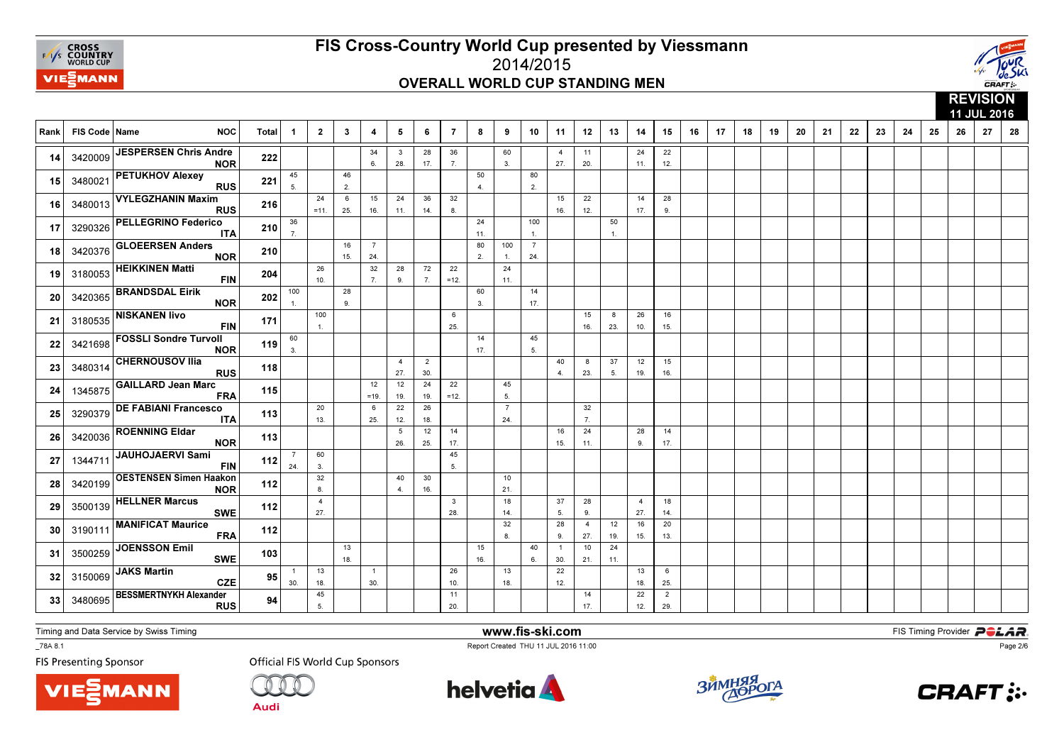



|      |               |                                             |       |                        |                       |              |                       |                       |                       |                     |                      |                       |                       |                       |                       |                    |                       |                       |    |    |    |    |    |    |    |    |    |    |    | <b>INLYIVIVIT</b><br>11 JUL 2016 |    |
|------|---------------|---------------------------------------------|-------|------------------------|-----------------------|--------------|-----------------------|-----------------------|-----------------------|---------------------|----------------------|-----------------------|-----------------------|-----------------------|-----------------------|--------------------|-----------------------|-----------------------|----|----|----|----|----|----|----|----|----|----|----|----------------------------------|----|
| Rank | FIS Code Name | <b>NOC</b>                                  | Total | $\overline{1}$         | $\overline{2}$        | $\mathbf{3}$ | 4                     | 5                     | 6                     | $\overline{7}$      | 8                    | 9                     | 10                    | 11                    | 12                    | 13                 | 14                    | 15                    | 16 | 17 | 18 | 19 | 20 | 21 | 22 | 23 | 24 | 25 | 26 | 27                               | 28 |
| 14   | 3420009       | <b>JESPERSEN Chris Andre</b><br><b>NOR</b>  | 222   |                        |                       |              | 34<br>6.              | 3<br>28.              | 28<br>17.             | 36<br>7.            |                      | 60<br>$\overline{3}$  |                       | $\overline{4}$<br>27. | 11<br>20.             |                    | 24<br>11.             | 22<br>12.             |    |    |    |    |    |    |    |    |    |    |    |                                  |    |
| 15   | 3480021       | <b>PETUKHOV Alexey</b><br><b>RUS</b>        | 221   | 45<br>5.               |                       | 46<br>2.     |                       |                       |                       |                     | 50<br>$\overline{4}$ |                       | 80<br>2.              |                       |                       |                    |                       |                       |    |    |    |    |    |    |    |    |    |    |    |                                  |    |
| 16   | 3480013       | <b>VYLEGZHANIN Maxim</b><br><b>RUS</b>      | 216   |                        | 24<br>$=11.$          | 6<br>25.     | 15<br>16.             | 24<br>11.             | 36<br>14.             | 32<br>8.            |                      |                       |                       | 15<br>16.             | 22<br>12.             |                    | 14<br>17.             | 28<br>9.              |    |    |    |    |    |    |    |    |    |    |    |                                  |    |
| 17   | 3290326       | <b>PELLEGRINO Federico</b><br><b>ITA</b>    | 210   | 36<br>$\overline{7}$ . |                       |              |                       |                       |                       |                     | 24<br>11.            |                       | 100<br>$\mathbf{1}$   |                       |                       | 50<br>$\mathbf{1}$ |                       |                       |    |    |    |    |    |    |    |    |    |    |    |                                  |    |
| 18   | 3420376       | <b>GLOEERSEN Anders</b><br><b>NOR</b>       | 210   |                        |                       | 16<br>15.    | $\overline{7}$<br>24. |                       |                       |                     | 80<br>2.             | 100<br>$\overline{1}$ | $\overline{7}$<br>24. |                       |                       |                    |                       |                       |    |    |    |    |    |    |    |    |    |    |    |                                  |    |
| 19   | 3180053       | <b>HEIKKINEN Matti</b><br><b>FIN</b>        | 204   |                        | 26<br>10.             |              | 32<br>7.              | 28<br>9.              | 72<br>7.              | 22<br>$=12.$        |                      | 24<br>11.             |                       |                       |                       |                    |                       |                       |    |    |    |    |    |    |    |    |    |    |    |                                  |    |
| 20   | 3420365       | <b>BRANDSDAL Eirik</b><br><b>NOR</b>        | 202   | 100<br>$\mathbf{1}$    |                       | 28<br>9.     |                       |                       |                       |                     | 60<br>3.             |                       | 14<br>17.             |                       |                       |                    |                       |                       |    |    |    |    |    |    |    |    |    |    |    |                                  |    |
| 21   | 3180535       | <b>NISKANEN livo</b><br><b>FIN</b>          | 171   |                        | 100<br>$\mathbf{1}$   |              |                       |                       |                       | 6<br>25.            |                      |                       |                       |                       | 15<br>16.             | 8<br>23.           | 26<br>10.             | 16<br>15.             |    |    |    |    |    |    |    |    |    |    |    |                                  |    |
| 22   | 3421698       | <b>FOSSLI Sondre Turvoll</b><br><b>NOR</b>  | 119   | 60<br>3.               |                       |              |                       |                       |                       |                     | 14<br>17.            |                       | 45<br>5.              |                       |                       |                    |                       |                       |    |    |    |    |    |    |    |    |    |    |    |                                  |    |
| 23   | 3480314       | <b>CHERNOUSOV Ilia</b><br><b>RUS</b>        | 118   |                        |                       |              |                       | $\overline{4}$<br>27. | $\overline{2}$<br>30. |                     |                      |                       |                       | 40<br>$\overline{4}$  | 8<br>23.              | 37<br>5.           | 12<br>19.             | 15<br>16.             |    |    |    |    |    |    |    |    |    |    |    |                                  |    |
| 24   | 1345875       | <b>GAILLARD Jean Marc</b><br><b>FRA</b>     | 115   |                        |                       |              | 12<br>$=19.$          | 12<br>19.             | 24<br>19.             | 22<br>$=12.$        |                      | 45<br>5.              |                       |                       |                       |                    |                       |                       |    |    |    |    |    |    |    |    |    |    |    |                                  |    |
| 25   | 3290379       | <b>DE FABIANI Francesco</b><br><b>ITA</b>   | 113   |                        | 20<br>13.             |              | 6<br>25.              | 22<br>12.             | 26<br>18.             |                     |                      | $\overline{7}$<br>24. |                       |                       | 32<br>$\overline{7}$  |                    |                       |                       |    |    |    |    |    |    |    |    |    |    |    |                                  |    |
| 26   | 3420036       | <b>ROENNING Eldar</b><br><b>NOR</b>         | 113   |                        |                       |              |                       | 5<br>26.              | 12<br>25.             | 14<br>17.           |                      |                       |                       | 16<br>15.             | 24<br>11.             |                    | 28<br>9.              | 14<br>17.             |    |    |    |    |    |    |    |    |    |    |    |                                  |    |
| 27   | 1344711       | <b>JAUHOJAERVI Sami</b><br><b>FIN</b>       | 112   | $\overline{7}$<br>24.  | 60<br>3.              |              |                       |                       |                       | 45<br>5.            |                      |                       |                       |                       |                       |                    |                       |                       |    |    |    |    |    |    |    |    |    |    |    |                                  |    |
| 28   | 3420199       | <b>OESTENSEN Simen Haakon</b><br><b>NOR</b> | 112   |                        | 32<br>8.              |              |                       | 40<br>$\overline{4}$  | 30<br>16.             |                     |                      | 10<br>21.             |                       |                       |                       |                    |                       |                       |    |    |    |    |    |    |    |    |    |    |    |                                  |    |
| 29   | 3500139       | <b>HELLNER Marcus</b><br><b>SWE</b>         | 112   |                        | $\overline{4}$<br>27. |              |                       |                       |                       | $\mathbf{3}$<br>28. |                      | 18<br>14.             |                       | 37<br>5.              | 28<br>9.              |                    | $\overline{4}$<br>27. | 18<br>14.             |    |    |    |    |    |    |    |    |    |    |    |                                  |    |
| 30   | 3190111       | <b>MANIFICAT Maurice</b><br><b>FRA</b>      | 112   |                        |                       |              |                       |                       |                       |                     |                      | 32<br>8               |                       | 28<br>9.              | $\overline{4}$<br>27. | 12<br>19.          | 16<br>15.             | 20<br>13.             |    |    |    |    |    |    |    |    |    |    |    |                                  |    |
| 31   | 3500259       | <b>JOENSSON Emil</b><br><b>SWE</b>          | 103   |                        |                       | 13<br>18.    |                       |                       |                       |                     | 15<br>16.            |                       | 40<br>6.              | $\overline{1}$<br>30. | 10<br>21.             | 24<br>11.          |                       |                       |    |    |    |    |    |    |    |    |    |    |    |                                  |    |
| 32   | 3150069       | <b>JAKS Martin</b><br><b>CZE</b>            | 95    | $\overline{1}$<br>30.  | 13<br>18.             |              | $\overline{1}$<br>30. |                       |                       | 26<br>10.           |                      | 13<br>18.             |                       | 22<br>12.             |                       |                    | 13<br>18.             | 6<br>25.              |    |    |    |    |    |    |    |    |    |    |    |                                  |    |
| 33   | 3480695       | <b>BESSMERTNYKH Alexander</b><br><b>RUS</b> | 94    |                        | 45<br>5.              |              |                       |                       |                       | 11<br>20.           |                      |                       |                       |                       | 14<br>17.             |                    | 22<br>12.             | $\overline{2}$<br>29. |    |    |    |    |    |    |    |    |    |    |    |                                  |    |

Timing and Data Service by Swiss Timing

**MANN** 

\_78A 8.1

**FIS Presenting Sponsor** 

**Official FIS World Cup Sponsors** 



www.fis-ski.com

Report Created THU 11 JUL 2016 11:00



**m**<br>FIS Timing Provider<br>Is 11:00



Page 2/6

**Audi**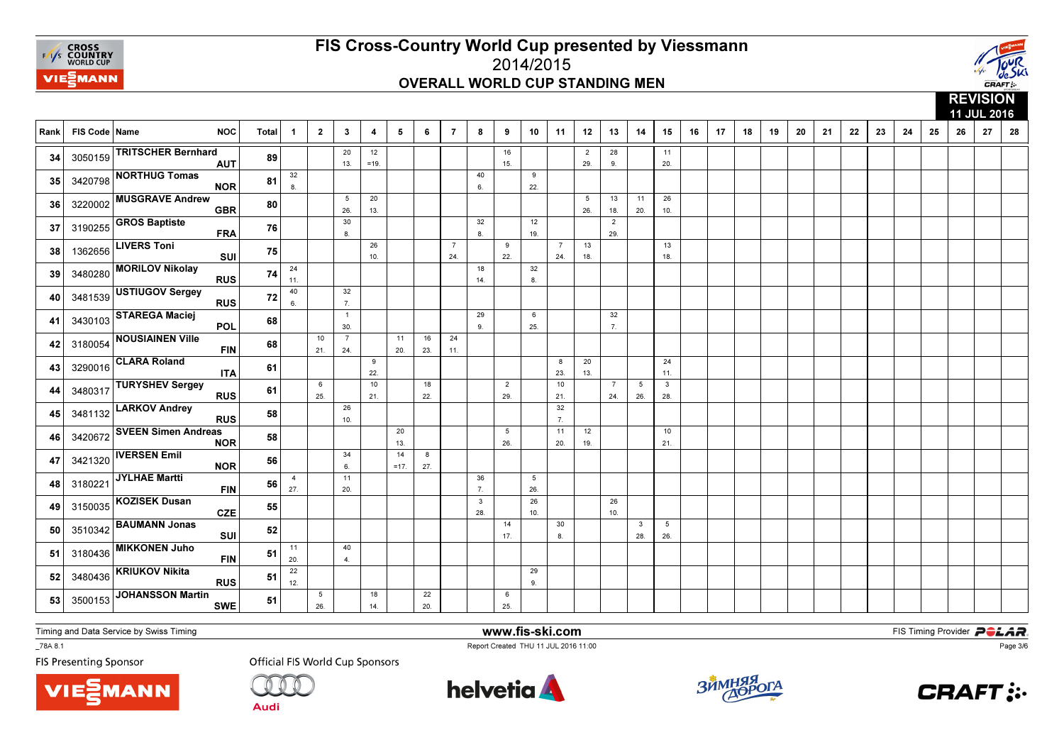



|      |               |                                          |              |                       |                        |                        |                |              |           |                       |                     |                        |                        |                       |                       |                       |                        |                        |    |    |    |    |    | 11 JUL 2016<br>28<br>21<br>22<br>23<br>27<br>24<br>25<br>26 |  |  |  |  |  |  |  |  |  |  |  |
|------|---------------|------------------------------------------|--------------|-----------------------|------------------------|------------------------|----------------|--------------|-----------|-----------------------|---------------------|------------------------|------------------------|-----------------------|-----------------------|-----------------------|------------------------|------------------------|----|----|----|----|----|-------------------------------------------------------------|--|--|--|--|--|--|--|--|--|--|--|
| Rank | FIS Code Name | <b>NOC</b>                               | <b>Total</b> | $\mathbf 1$           | $\overline{2}$         | $\mathbf{3}$           | $\overline{4}$ | 5            | 6         | $\overline{7}$        | 8                   | 9                      | 10                     | 11                    | 12                    | 13                    | 14                     | 15                     | 16 | 17 | 18 | 19 | 20 |                                                             |  |  |  |  |  |  |  |  |  |  |  |
| 34   |               | 3050159 TRITSCHER Bernhard<br><b>AUT</b> | 89           |                       |                        | 20<br>13.              | 12<br>$=19.$   |              |           |                       |                     | 16<br>15.              |                        |                       | $\overline{2}$<br>29. | 28<br>9.              |                        | 11<br>20.              |    |    |    |    |    |                                                             |  |  |  |  |  |  |  |  |  |  |  |
| 35   |               | 3420798 NORTHUG Tomas<br><b>NOR</b>      | 81           | 32<br>8 <sub>1</sub>  |                        |                        |                |              |           |                       | 40<br>6.            |                        | 9<br>22.               |                       |                       |                       |                        |                        |    |    |    |    |    |                                                             |  |  |  |  |  |  |  |  |  |  |  |
| 36   | 3220002       | <b>MUSGRAVE Andrew</b><br><b>GBR</b>     | 80           |                       |                        | $5\overline{5}$<br>26. | 20<br>13.      |              |           |                       |                     |                        |                        |                       | 5<br>26.              | 13<br>18.             | 11<br>20.              | 26<br>10.              |    |    |    |    |    |                                                             |  |  |  |  |  |  |  |  |  |  |  |
| 37   | 3190255       | <b>GROS Baptiste</b><br><b>FRA</b>       | 76           |                       |                        | 30<br>8.               |                |              |           |                       | 32<br>8.            |                        | 12<br>19.              |                       |                       | $\overline{2}$<br>29. |                        |                        |    |    |    |    |    |                                                             |  |  |  |  |  |  |  |  |  |  |  |
| 38   | 1362656       | <b>LIVERS Toni</b><br>SUI                | 75           |                       |                        |                        | 26<br>10.      |              |           | $\overline{7}$<br>24. |                     | 9<br>22.               |                        | $\overline{7}$<br>24. | 13<br>18.             |                       |                        | 13<br>18.              |    |    |    |    |    |                                                             |  |  |  |  |  |  |  |  |  |  |  |
| 39   | 3480280       | <b>MORILOV Nikolay</b><br><b>RUS</b>     | 74           | 24<br>11.             |                        |                        |                |              |           |                       | 18<br>14.           |                        | 32<br>8.               |                       |                       |                       |                        |                        |    |    |    |    |    |                                                             |  |  |  |  |  |  |  |  |  |  |  |
| 40   | 3481539       | USTIUGOV Sergey<br><b>RUS</b>            | 72           | 40<br>6.              |                        | 32<br>7.               |                |              |           |                       |                     |                        |                        |                       |                       |                       |                        |                        |    |    |    |    |    |                                                             |  |  |  |  |  |  |  |  |  |  |  |
| 41   | 3430103       | <b>STAREGA Maciej</b><br>POL             | 68           |                       |                        | $\overline{1}$<br>30.  |                |              |           |                       | 29<br>9.            |                        | 6<br>25.               |                       |                       | 32<br>7.              |                        |                        |    |    |    |    |    |                                                             |  |  |  |  |  |  |  |  |  |  |  |
| 42   | 3180054       | <b>NOUSIAINEN Ville</b><br><b>FIN</b>    | 68           |                       | 10<br>21.              | $\overline{7}$<br>24.  |                | 11<br>20.    | 16<br>23. | 24<br>11.             |                     |                        |                        |                       |                       |                       |                        |                        |    |    |    |    |    |                                                             |  |  |  |  |  |  |  |  |  |  |  |
| 43   | 3290016       | <b>CLARA Roland</b><br><b>ITA</b>        | 61           |                       |                        |                        | 9<br>22.       |              |           |                       |                     |                        |                        | 8<br>23.              | 20<br>13.             |                       |                        | 24<br>11.              |    |    |    |    |    |                                                             |  |  |  |  |  |  |  |  |  |  |  |
| 44   | 3480317       | <b>TURYSHEV Sergey</b><br><b>RUS</b>     | 61           |                       | 6<br>25.               |                        | 10<br>21.      |              | 18<br>22. |                       |                     | $\overline{2}$<br>29.  |                        | 10<br>21.             |                       | $\overline{7}$<br>24. | $5\overline{5}$<br>26. | $\mathbf{3}$<br>28.    |    |    |    |    |    |                                                             |  |  |  |  |  |  |  |  |  |  |  |
| 45   | 3481132       | <b>LARKOV Andrey</b><br><b>RUS</b>       | 58           |                       |                        | 26<br>10.              |                |              |           |                       |                     |                        |                        | 32<br>7.              |                       |                       |                        |                        |    |    |    |    |    |                                                             |  |  |  |  |  |  |  |  |  |  |  |
| 46   | 3420672       | <b>SVEEN Simen Andreas</b><br><b>NOR</b> | 58           |                       |                        |                        |                | 20<br>13.    |           |                       |                     | $5\overline{5}$<br>26. |                        | 11<br>20.             | 12<br>19.             |                       |                        | 10<br>21.              |    |    |    |    |    |                                                             |  |  |  |  |  |  |  |  |  |  |  |
| 47   | 3421320       | <b>IVERSEN Emil</b><br><b>NOR</b>        | 56           |                       |                        | 34<br>6.               |                | 14<br>$=17.$ | 8<br>27.  |                       |                     |                        |                        |                       |                       |                       |                        |                        |    |    |    |    |    |                                                             |  |  |  |  |  |  |  |  |  |  |  |
| 48   | 3180221       | JYLHAE Martti<br><b>FIN</b>              | 56           | $\overline{4}$<br>27. |                        | 11<br>20.              |                |              |           |                       | 36<br>7.            |                        | $5\overline{5}$<br>26. |                       |                       |                       |                        |                        |    |    |    |    |    |                                                             |  |  |  |  |  |  |  |  |  |  |  |
| 49   | 3150035       | <b>KOZISEK Dusan</b><br><b>CZE</b>       | 55           |                       |                        |                        |                |              |           |                       | $\mathbf{3}$<br>28. |                        | 26<br>10.              |                       |                       | 26<br>10.             |                        |                        |    |    |    |    |    |                                                             |  |  |  |  |  |  |  |  |  |  |  |
| 50   | 3510342       | <b>BAUMANN Jonas</b><br>SUI              | 52           |                       |                        |                        |                |              |           |                       |                     | 14<br>17.              |                        | 30<br>8.              |                       |                       | 3<br>28.               | $5\overline{5}$<br>26. |    |    |    |    |    |                                                             |  |  |  |  |  |  |  |  |  |  |  |
| 51   | 3180436       | <b>MIKKONEN Juho</b><br><b>FIN</b>       | 51           | 11<br>20.             |                        | 40<br>4.               |                |              |           |                       |                     |                        |                        |                       |                       |                       |                        |                        |    |    |    |    |    |                                                             |  |  |  |  |  |  |  |  |  |  |  |
| 52   | 3480436       | <b>KRIUKOV Nikita</b><br><b>RUS</b>      | 51           | 22<br>12.             |                        |                        |                |              |           |                       |                     |                        | 29<br>9.               |                       |                       |                       |                        |                        |    |    |    |    |    |                                                             |  |  |  |  |  |  |  |  |  |  |  |
| 53   | 3500153       | <b>JOHANSSON Martin</b><br><b>SWE</b>    | 51           |                       | $5\phantom{.0}$<br>26. |                        | 18<br>14.      |              | 22<br>20. |                       |                     | 6<br>25.               |                        |                       |                       |                       |                        |                        |    |    |    |    |    |                                                             |  |  |  |  |  |  |  |  |  |  |  |

Timing and Data Service by Swiss Timing

MANN

\_78A 8.1

**FIS Presenting Sponsor** 

**Official FIS World Cup Sponsors** 

**Audi** 



www.fis-ski.com

Report Created THU 11 JUL 2016 11:00



**m**<br>FIS Timing Provider<br>Is 11:00



Page 3/6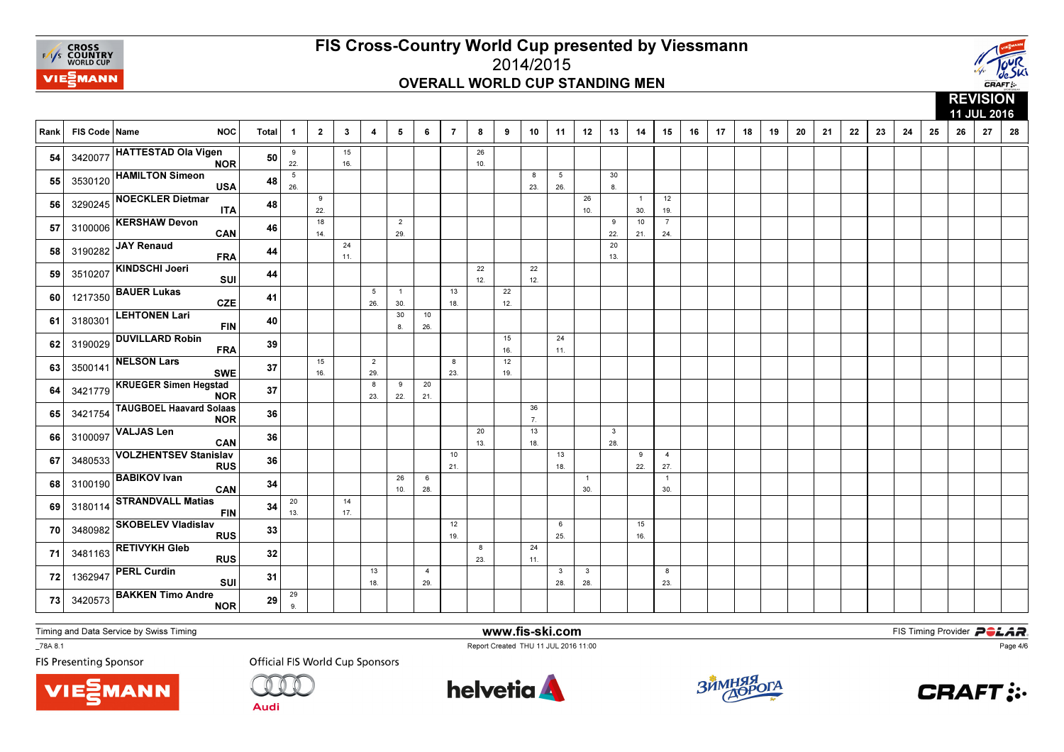



|      |                 |                                              |       |                      |                |              |                        |                       |                       |                |           |           |           |                                |                                |                     |                       |                       |    |    |    |    |    |    |    |    | 11 JUL 2016<br>28<br>24<br>25<br>26<br>27 |  |  |  |  |  |  |  |  |  |  |
|------|-----------------|----------------------------------------------|-------|----------------------|----------------|--------------|------------------------|-----------------------|-----------------------|----------------|-----------|-----------|-----------|--------------------------------|--------------------------------|---------------------|-----------------------|-----------------------|----|----|----|----|----|----|----|----|-------------------------------------------|--|--|--|--|--|--|--|--|--|--|
| Rank | FIS Code   Name | <b>NOC</b>                                   | Total | $\overline{1}$       | $\overline{2}$ | $\mathbf{3}$ | 4                      | 5                     | 6                     | $\overline{7}$ | 8         | 9         | 10        | 11                             | 12                             | 13                  | 14                    | 15                    | 16 | 17 | 18 | 19 | 20 | 21 | 22 | 23 |                                           |  |  |  |  |  |  |  |  |  |  |
| 54   |                 | 3420077 HATTESTAD Ola Vigen<br><b>NOR</b>    | 50    | 9<br>22.             |                | 15<br>16.    |                        |                       |                       |                | 26<br>10. |           |           |                                |                                |                     |                       |                       |    |    |    |    |    |    |    |    |                                           |  |  |  |  |  |  |  |  |  |  |
| 55   | 3530120         | <b>HAMILTON Simeon</b><br><b>USA</b>         | 48    | $\,$ 5 $\,$<br>26.   |                |              |                        |                       |                       |                |           |           | 8<br>23.  | $5\phantom{.0}$<br>26.         |                                | 30<br>8.            |                       |                       |    |    |    |    |    |    |    |    |                                           |  |  |  |  |  |  |  |  |  |  |
| 56   | 3290245         | <b>NOECKLER Dietmar</b><br><b>ITA</b>        | 48    |                      | 9<br>22.       |              |                        |                       |                       |                |           |           |           |                                | 26<br>10.                      |                     | $\overline{1}$<br>30. | 12<br>19.             |    |    |    |    |    |    |    |    |                                           |  |  |  |  |  |  |  |  |  |  |
| 57   | 3100006         | <b>KERSHAW Devon</b><br>CAN                  | 46    |                      | 18<br>14.      |              |                        | $\overline{2}$<br>29. |                       |                |           |           |           |                                |                                | 9<br>22.            | 10<br>21.             | $\overline{7}$<br>24. |    |    |    |    |    |    |    |    |                                           |  |  |  |  |  |  |  |  |  |  |
| 58   | 3190282         | JAY Renaud<br><b>FRA</b>                     | 44    |                      |                | 24<br>11.    |                        |                       |                       |                |           |           |           |                                |                                | 20<br>13.           |                       |                       |    |    |    |    |    |    |    |    |                                           |  |  |  |  |  |  |  |  |  |  |
| 59   | 3510207         | KINDSCHI Joeri<br>SUI                        | 44    |                      |                |              |                        |                       |                       |                | 22<br>12. |           | 22<br>12. |                                |                                |                     |                       |                       |    |    |    |    |    |    |    |    |                                           |  |  |  |  |  |  |  |  |  |  |
| 60   | 1217350         | <b>BAUER Lukas</b><br><b>CZE</b>             | 41    |                      |                |              | $5\phantom{.0}$<br>26. | $\overline{1}$<br>30. |                       | 13<br>18.      |           | 22<br>12. |           |                                |                                |                     |                       |                       |    |    |    |    |    |    |    |    |                                           |  |  |  |  |  |  |  |  |  |  |
| 61   | 3180301         | <b>LEHTONEN Lari</b><br><b>FIN</b>           | 40    |                      |                |              |                        | 30<br>8.              | 10<br>26.             |                |           |           |           |                                |                                |                     |                       |                       |    |    |    |    |    |    |    |    |                                           |  |  |  |  |  |  |  |  |  |  |
| 62   | 3190029         | <b>DUVILLARD Robin</b><br><b>FRA</b>         | 39    |                      |                |              |                        |                       |                       |                |           | 15<br>16. |           | 24<br>11.                      |                                |                     |                       |                       |    |    |    |    |    |    |    |    |                                           |  |  |  |  |  |  |  |  |  |  |
| 63   | 3500141         | <b>NELSON Lars</b><br><b>SWE</b>             | 37    |                      | 15<br>16.      |              | $\overline{2}$<br>29.  |                       |                       | 8<br>23.       |           | 12<br>19. |           |                                |                                |                     |                       |                       |    |    |    |    |    |    |    |    |                                           |  |  |  |  |  |  |  |  |  |  |
| 64   | 3421779         | <b>KRUEGER Simen Hegstad</b><br><b>NOR</b>   | 37    |                      |                |              | 8<br>23.               | 9<br>22.              | 20<br>21.             |                |           |           |           |                                |                                |                     |                       |                       |    |    |    |    |    |    |    |    |                                           |  |  |  |  |  |  |  |  |  |  |
| 65   | 3421754         | <b>TAUGBOEL Haavard Solaas</b><br><b>NOR</b> | 36    |                      |                |              |                        |                       |                       |                |           |           | 36<br>7.  |                                |                                |                     |                       |                       |    |    |    |    |    |    |    |    |                                           |  |  |  |  |  |  |  |  |  |  |
| 66   | 3100097         | <b>VALJAS Len</b><br>CAN                     | 36    |                      |                |              |                        |                       |                       |                | 20<br>13. |           | 13<br>18. |                                |                                | $\mathbf{3}$<br>28. |                       |                       |    |    |    |    |    |    |    |    |                                           |  |  |  |  |  |  |  |  |  |  |
| 67   | 3480533         | <b>VOLZHENTSEV Stanislav</b><br><b>RUS</b>   | 36    |                      |                |              |                        |                       |                       | 10<br>21.      |           |           |           | 13<br>18.                      |                                |                     | 9<br>22.              | $\overline{4}$<br>27. |    |    |    |    |    |    |    |    |                                           |  |  |  |  |  |  |  |  |  |  |
| 68   | 3100190         | <b>BABIKOV</b> Ivan<br>CAN                   | 34    |                      |                |              |                        | 26<br>10.             | 6<br>28.              |                |           |           |           |                                | $\overline{1}$<br>30.          |                     |                       | $\overline{1}$<br>30. |    |    |    |    |    |    |    |    |                                           |  |  |  |  |  |  |  |  |  |  |
| 69   | 3180114         | <b>STRANDVALL Matias</b><br><b>FIN</b>       | 34    | 20<br>13.            |                | 14<br>17.    |                        |                       |                       |                |           |           |           |                                |                                |                     |                       |                       |    |    |    |    |    |    |    |    |                                           |  |  |  |  |  |  |  |  |  |  |
| 70   | 3480982         | <b>SKOBELEV Vladislav</b><br><b>RUS</b>      | 33    |                      |                |              |                        |                       |                       | 12<br>19.      |           |           |           | 6<br>25.                       |                                |                     | 15<br>16.             |                       |    |    |    |    |    |    |    |    |                                           |  |  |  |  |  |  |  |  |  |  |
| 71   | 3481163         | <b>RETIVYKH Gleb</b><br><b>RUS</b>           | 32    |                      |                |              |                        |                       |                       |                | 8<br>23.  |           | 24<br>11. |                                |                                |                     |                       |                       |    |    |    |    |    |    |    |    |                                           |  |  |  |  |  |  |  |  |  |  |
| 72   | 1362947         | <b>PERL Curdin</b><br>SUI                    | 31    |                      |                |              | 13<br>18.              |                       | $\overline{4}$<br>29. |                |           |           |           | $\overline{\mathbf{3}}$<br>28. | $\overline{\mathbf{3}}$<br>28. |                     |                       | 8<br>23.              |    |    |    |    |    |    |    |    |                                           |  |  |  |  |  |  |  |  |  |  |
| 73   | 3420573         | <b>BAKKEN Timo Andre</b><br><b>NOR</b>       | 29    | 29<br>9 <sub>1</sub> |                |              |                        |                       |                       |                |           |           |           |                                |                                |                     |                       |                       |    |    |    |    |    |    |    |    |                                           |  |  |  |  |  |  |  |  |  |  |

Timing and Data Service by Swiss Timing

MANN

\_78A 8.1

**FIS Presenting Sponsor** 

**Official FIS World Cup Sponsors** 

**Audi** 



www.fis-ski.com

Report Created THU 11 JUL 2016 11:00



**m**<br>FIS Timing Provider<br>Is 11:00



Page 4/6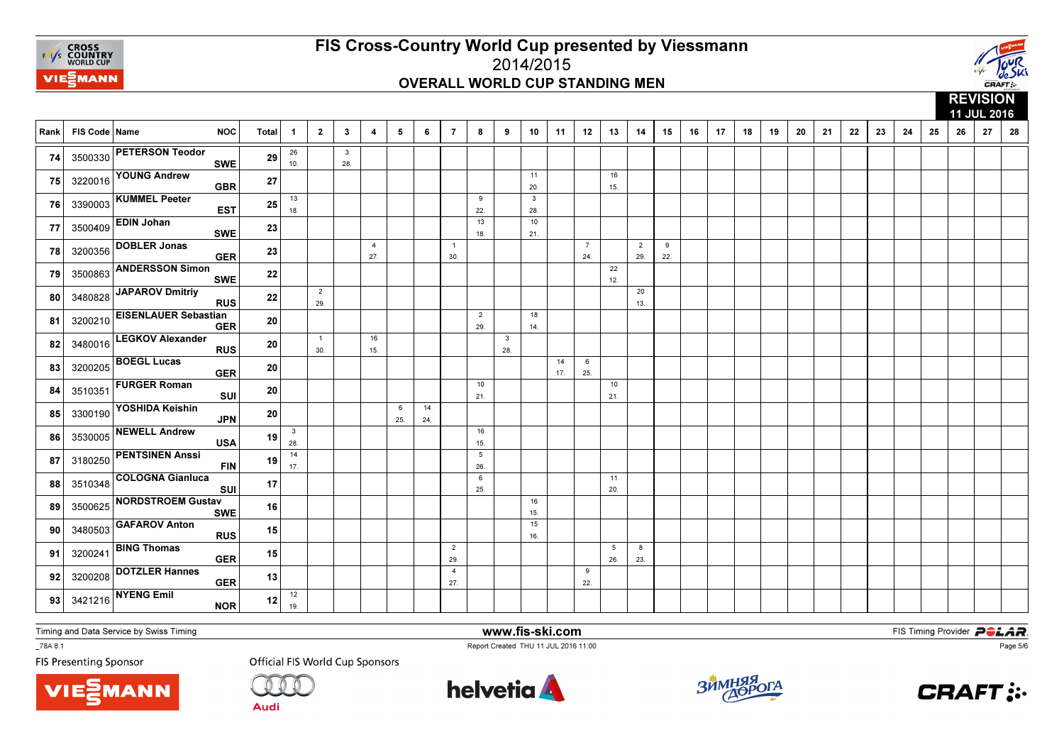



#### **REVISION**  11 JUL 201628 Rank | FIS Code | Name NOC | Total | 1 │ 2 │ 3 │ 4 │ 5 │ 6 │ 7 │ 8 │ 9 │ 10 │ 11 │ 12 │ 13 │ 14 │ 15 │ 16 │ 17 │ 18 │ 19 9 | 20 | 21 | 22 | 23 | 24 | 25 | 26 | 27 | 28 26 10.3 28. 74 <sup>3500330</sup> PETERSON Teodor SWE <sup>29</sup> 11 20.1615. **75** 3220016  $\begin{vmatrix} 3220016 \end{vmatrix}$  **CDER GBR 27** | | | | | | | | | | 20 | | 15 75 3220016 YOUNG Andrew **GBR** R  $^{27}$ 13 18. $\overline{9}$  22. $\frac{1}{13}$  $\overline{\phantom{a}3}$ 28. 28.<sup>76</sup>76 3390003 KUMMEL Peeter EST <sup>25</sup> 18. $\overline{10}$  21. 77 <sup>3500409</sup>EDIN Johan SWE <sup>23</sup> 4 27.1 30.7 24.2 29.9 $22.$ 22.<sup>78</sup> <sup>3200356</sup> DOBLER Jonas GERR  $^{23}$ 22 $12.$ 12.<sup>79</sup>**79** 3500863 ANDERSSON Simon SWE <sup>22</sup> 2 29.20 $13.$ **80** 3480828  $\begin{bmatrix} 3480828 \end{bmatrix}$   $\begin{bmatrix} 25 \end{bmatrix}$   $\begin{bmatrix} 22 \end{bmatrix}$   $\begin{bmatrix} 29 \end{bmatrix}$   $\begin{bmatrix} 1 \end{bmatrix}$   $\begin{bmatrix} 1 \end{bmatrix}$   $\begin{bmatrix} 1 \end{bmatrix}$   $\begin{bmatrix} 1 \end{bmatrix}$   $\begin{bmatrix} 1 \end{bmatrix}$ 80 3480828 JAPAROV Dmitriy RUS s  $\frac{22}{2}$ 2 29.18 $14.$ 14.<sup>81</sup>81 3200210 EISENLAUER Sebastian R  $^{20}$  $\overline{1}$  30.16 15.328. 82 3480016  $\begin{vmatrix} -20.8 & 0.8 \\ 0.8 & 0.8 \end{vmatrix}$  RUS 20  $\begin{vmatrix} 20 & 0 \\ 0 & 30 \end{vmatrix}$  1  $\begin{vmatrix} 1 & 0 \\ 0 & 1 \end{vmatrix}$  1  $\begin{vmatrix} 28 & 0 \\ 28 & 0 \end{vmatrix}$ 82 3480016 LEGKOV Alexander <sup>20</sup> 14 17. $6$  $25.$ **83** 3200205  $\begin{bmatrix} 200205 \\ 25 \end{bmatrix}$  **20** 1 1 1 1 1 1 1 1 1 1 1 1 1 1 1 25  $\begin{array}{|c|c|c|}\n\hline\n 33 & 3200205 & \text{BOEGL Lucas} \\
\hline\n\end{array}$  <sup>20</sup> 10 21.10 $21.$ **84** 3510351  $\left|\begin{array}{ccccc} 36.61 & 36.61 & 36.61 \\ 36.61 & 36.61 & 36.61 \\ 36.61 & 36.61 & 36.61 \\ 36.61 & 36.61 & 36.61 \\ 36.61 & 36.61 & 36.61 \\ 36.61 & 36.61 & 36.61 \\ 37.61 & 37.61 & 36.61 \\ 38.61 & 38.61 & 36.61 \\ 39.61 & 39.61 & 36.61 \\ 30.61 &$ 84 351035 FURGER Roman<br>SUI <sup>20</sup> 6 25.1424. 24.<sup>85</sup> <sup>3300190</sup> YOSHIDA Keishin JPN <sup>20</sup> 3 28.16 $15.$ 15.<sup>86</sup>86 3530005 NEWELL Andrew<br>USA <sup>19</sup> 14 17.526. **87** 3180250  $\left|\begin{array}{cc} 2.6 & -1.1 & -1.1 & -1.1 \\ -1.1 & -1.1 & -1.1 \\ 0.0 & 0.0 & 0.0 \end{array}\right|$ 87 3180250 PENTSINEN Anssi <sup>19</sup> 6 25.11 $20.$ 20.<sup>88</sup>88 3510348 COLOGNA Gianluca<br>SUI <sup>17</sup> 1615. 15.<sup>89</sup>**3500625 NORDSTROEM Gustav**<br>SWE <sup>16</sup> 1516. 16.<sup>90</sup>90 3480503 GAFAROV Anton RUS <sup>15</sup> 2 29.5 26.823. **91** 3200241  $\begin{vmatrix} 200241 \end{vmatrix}$   $\begin{vmatrix} 200241 \end{vmatrix}$   $\begin{vmatrix} 200241 \end{vmatrix}$   $\begin{vmatrix} 200241 \end{vmatrix}$   $\begin{vmatrix} 200241 \end{vmatrix}$ **91** 3200241 **BING Thomas GER** R 15 4 27.9 $22.$ 92 3200208  $\sim$  22.  $\sim$  22.  $\sim$  22.  $\sim$  22.  $\sim$  22.  $\sim$  22.  $\sim$  22.  $\sim$  22.  $\sim$  22.  $\sim$  22.  $\sim$  22.  $\sim$  22.  $\sim$  22.  $\sim$  22.  $\sim$  22.  $\sim$  22.  $\sim$  22.  $\sim$  22.  $\sim$  22.  $\sim$  22.  $\sim$  22.  $\sim$  22.  $\sim$  22.  $\sim$ 92 3200208 DOTZLER Hannes R  $^{13}$  $\overline{12}$ 19. 93 3421216 NYENG Emil NOR 12  $\frac{12}{19}$  $NOR$  12

Timing and Data Service by Swiss Timing

**VIE***MANN* 

\_78A 8.1

**FIS Presenting Sponsor** 

**Official FIS World Cup Sponsors** 



www.fis-ski.com

Report Created THU 11 JUL 2016 11:00



**m**<br>FIS Timing Provider<br>Is 11:00



Page 5/6

Audi